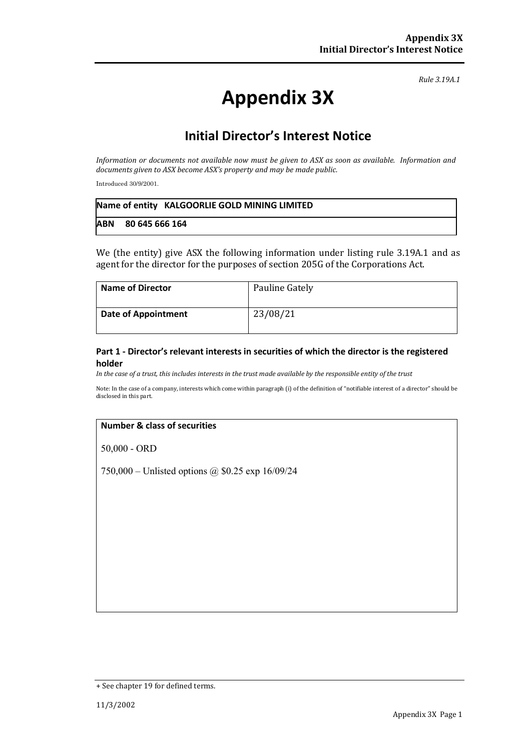# **Appendix 3X**

## **Initial Director's Interest Notice**

*Information or documents not available now must be given to ASX as soon as available. Information and documents given to ASX become ASX's property and may be made public.*

Introduced 30/9/2001.

|            | Name of entity KALGOORLIE GOLD MINING LIMITED |
|------------|-----------------------------------------------|
| <b>ABN</b> | 80 645 666 164                                |

We (the entity) give ASX the following information under listing rule 3.19A.1 and as agent for the director for the purposes of section 205G of the Corporations Act.

| <b>Name of Director</b>    | Pauline Gately |
|----------------------------|----------------|
| <b>Date of Appointment</b> | 23/08/21       |

### **Part 1 - Director's relevant interests in securities of which the director is the registered holder**

*In the case of a trust, this includes interests in the trust made available by the responsible entity of the trust*

Note: In the case of a company, interests which come within paragraph (i) of the definition of "notifiable interest of a director" should be disclosed in this part.

### **Number & class of securities**

50,000 - ORD

750,000 – Unlisted options @ \$0.25 exp 16/09/24

<sup>+</sup> See chapter 19 for defined terms.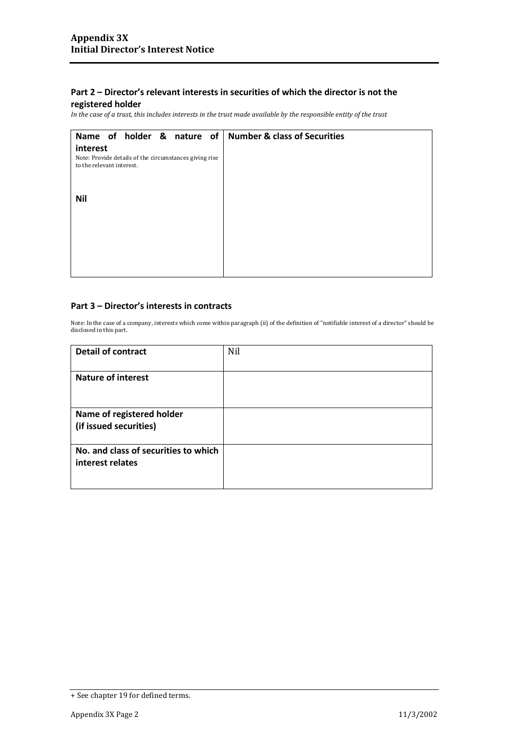### **registered holder**

*In the case of a trust, this includes interests in the trust made available by the responsible entity of the trust*

| Name of holder & nature of   Number & class of Securities                           |  |
|-------------------------------------------------------------------------------------|--|
| interest                                                                            |  |
| Note: Provide details of the circumstances giving rise<br>to the relevant interest. |  |
|                                                                                     |  |
| <b>Nil</b>                                                                          |  |
|                                                                                     |  |
|                                                                                     |  |
|                                                                                     |  |
|                                                                                     |  |
|                                                                                     |  |
|                                                                                     |  |

#### **Part 3 – Director's interests in contracts**

| <b>Detail of contract</b>                                | Nil |
|----------------------------------------------------------|-----|
| <b>Nature of interest</b>                                |     |
| Name of registered holder<br>(if issued securities)      |     |
| No. and class of securities to which<br>interest relates |     |

<sup>+</sup> See chapter 19 for defined terms.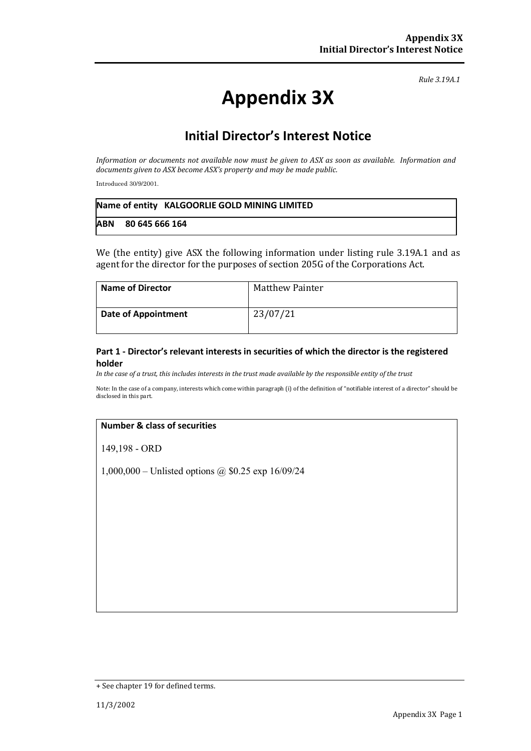# **Appendix 3X**

## **Initial Director's Interest Notice**

*Information or documents not available now must be given to ASX as soon as available. Information and documents given to ASX become ASX's property and may be made public.*

Introduced 30/9/2001.

|            | Name of entity KALGOORLIE GOLD MINING LIMITED |
|------------|-----------------------------------------------|
| <b>ABN</b> | 80 645 666 164                                |

We (the entity) give ASX the following information under listing rule 3.19A.1 and as agent for the director for the purposes of section 205G of the Corporations Act.

| <b>Name of Director</b>    | <b>Matthew Painter</b> |
|----------------------------|------------------------|
| <b>Date of Appointment</b> | 23/07/21               |

### **Part 1 - Director's relevant interests in securities of which the director is the registered holder**

*In the case of a trust, this includes interests in the trust made available by the responsible entity of the trust*

Note: In the case of a company, interests which come within paragraph (i) of the definition of "notifiable interest of a director" should be disclosed in this part.

### **Number & class of securities**

149,198 - ORD

1,000,000 – Unlisted options @ \$0.25 exp 16/09/24

<sup>+</sup> See chapter 19 for defined terms.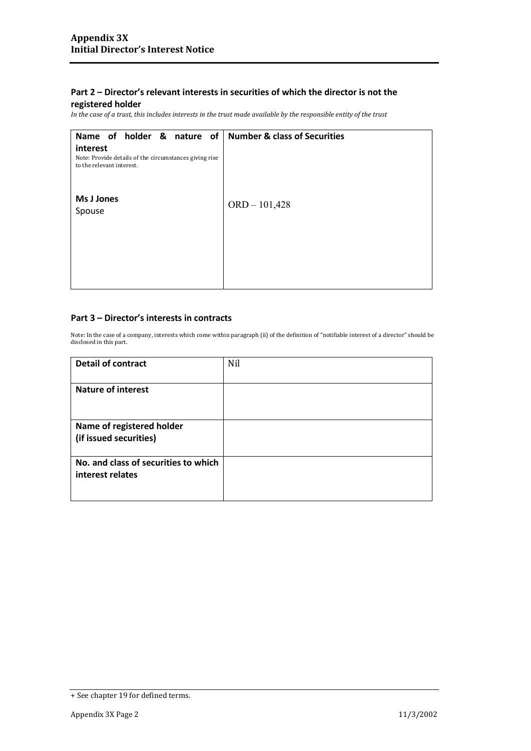### **registered holder**

*In the case of a trust, this includes interests in the trust made available by the responsible entity of the trust*

| Name of holder & nature of<br>interest<br>Note: Provide details of the circumstances giving rise<br>to the relevant interest. | <b>Number &amp; class of Securities</b> |
|-------------------------------------------------------------------------------------------------------------------------------|-----------------------------------------|
| Ms J Jones<br>Spouse                                                                                                          | $ORD - 101,428$                         |
|                                                                                                                               |                                         |

### **Part 3 – Director's interests in contracts**

| <b>Detail of contract</b>                                | Nil |
|----------------------------------------------------------|-----|
| <b>Nature of interest</b>                                |     |
| Name of registered holder<br>(if issued securities)      |     |
| No. and class of securities to which<br>interest relates |     |

<sup>+</sup> See chapter 19 for defined terms.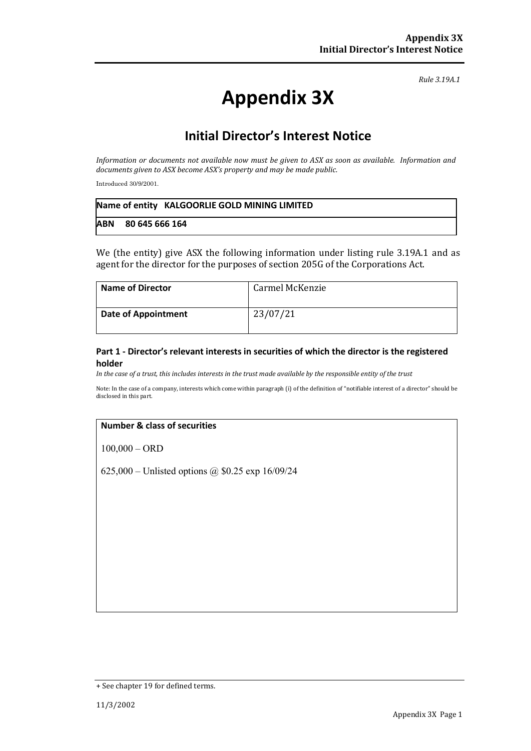# **Appendix 3X**

# **Initial Director's Interest Notice**

*Information or documents not available now must be given to ASX as soon as available. Information and documents given to ASX become ASX's property and may be made public.*

Introduced 30/9/2001.

|            | Name of entity KALGOORLIE GOLD MINING LIMITED |
|------------|-----------------------------------------------|
| <b>ABN</b> | 80 645 666 164                                |

We (the entity) give ASX the following information under listing rule 3.19A.1 and as agent for the director for the purposes of section 205G of the Corporations Act.

| <b>Name of Director</b>    | Carmel McKenzie |
|----------------------------|-----------------|
| <b>Date of Appointment</b> | 23/07/21        |

### **Part 1 - Director's relevant interests in securities of which the director is the registered holder**

*In the case of a trust, this includes interests in the trust made available by the responsible entity of the trust*

Note: In the case of a company, interests which come within paragraph (i) of the definition of "notifiable interest of a director" should be disclosed in this part.

### **Number & class of securities**

100,000 – ORD

625,000 – Unlisted options @ \$0.25 exp 16/09/24

<sup>+</sup> See chapter 19 for defined terms.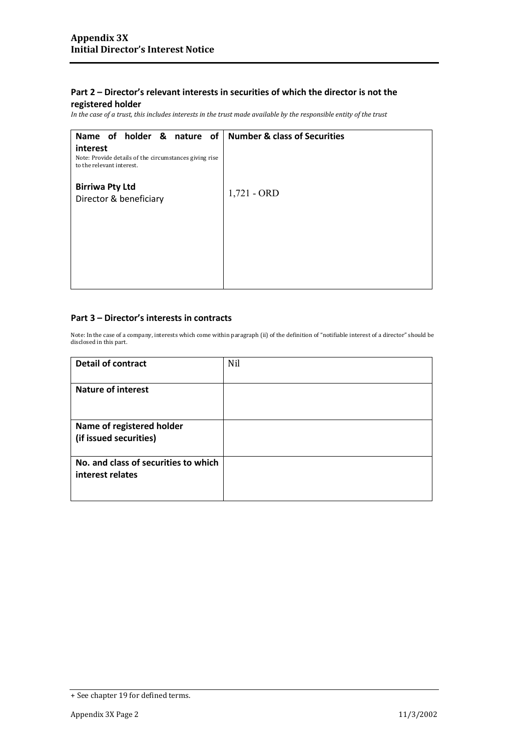### **registered holder**

*In the case of a trust, this includes interests in the trust made available by the responsible entity of the trust*

| Name of holder & nature of<br>interest                                              | <b>Number &amp; class of Securities</b> |
|-------------------------------------------------------------------------------------|-----------------------------------------|
| Note: Provide details of the circumstances giving rise<br>to the relevant interest. |                                         |
| <b>Birriwa Pty Ltd</b><br>Director & beneficiary                                    | $1,721 - ORD$                           |
|                                                                                     |                                         |

### **Part 3 – Director's interests in contracts**

| <b>Detail of contract</b>                                | Nil |
|----------------------------------------------------------|-----|
| <b>Nature of interest</b>                                |     |
| Name of registered holder<br>(if issued securities)      |     |
| No. and class of securities to which<br>interest relates |     |

<sup>+</sup> See chapter 19 for defined terms.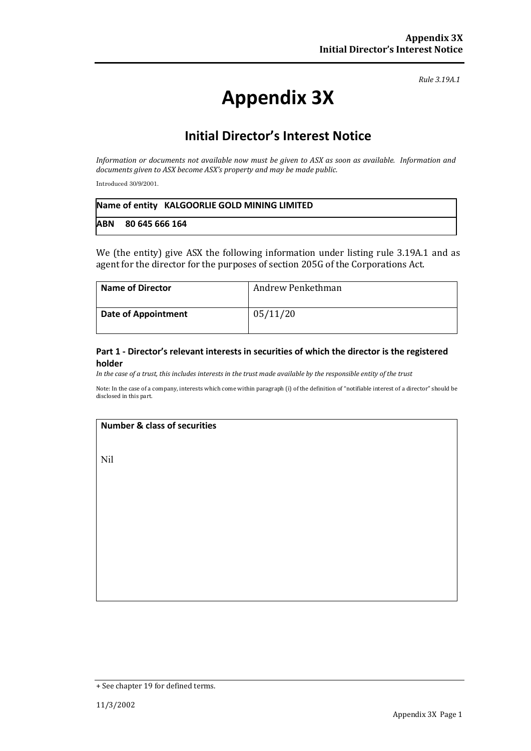# **Appendix 3X**

# **Initial Director's Interest Notice**

*Information or documents not available now must be given to ASX as soon as available. Information and documents given to ASX become ASX's property and may be made public.*

Introduced 30/9/2001.

|            | Name of entity KALGOORLIE GOLD MINING LIMITED |
|------------|-----------------------------------------------|
| <b>ABN</b> | 80 645 666 164                                |

We (the entity) give ASX the following information under listing rule 3.19A.1 and as agent for the director for the purposes of section 205G of the Corporations Act.

| <b>Name of Director</b>    | Andrew Penkethman |
|----------------------------|-------------------|
| <b>Date of Appointment</b> | 05/11/20          |

### **Part 1 - Director's relevant interests in securities of which the director is the registered holder**

*In the case of a trust, this includes interests in the trust made available by the responsible entity of the trust*

Note: In the case of a company, interests which come within paragraph (i) of the definition of "notifiable interest of a director" should be disclosed in this part.

### **Number & class of securities**

Nil

<sup>+</sup> See chapter 19 for defined terms.